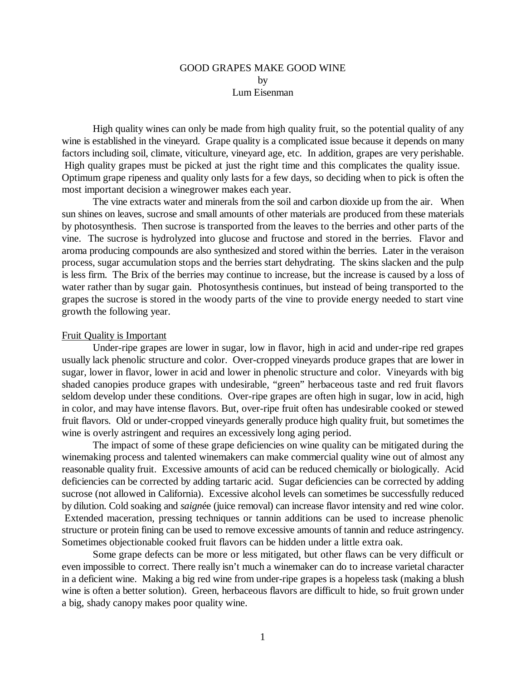## GOOD GRAPES MAKE GOOD WINE by Lum Eisenman

High quality wines can only be made from high quality fruit, so the potential quality of any wine is established in the vineyard. Grape quality is a complicated issue because it depends on many factors including soil, climate, viticulture, vineyard age, etc. In addition, grapes are very perishable. High quality grapes must be picked at just the right time and this complicates the quality issue. Optimum grape ripeness and quality only lasts for a few days, so deciding when to pick is often the most important decision a winegrower makes each year.

The vine extracts water and minerals from the soil and carbon dioxide up from the air. When sun shines on leaves, sucrose and small amounts of other materials are produced from these materials by photosynthesis. Then sucrose is transported from the leaves to the berries and other parts of the vine. The sucrose is hydrolyzed into glucose and fructose and stored in the berries. Flavor and aroma producing compounds are also synthesized and stored within the berries. Later in the veraison process, sugar accumulation stops and the berries start dehydrating. The skins slacken and the pulp is less firm. The Brix of the berries may continue to increase, but the increase is caused by a loss of water rather than by sugar gain. Photosynthesis continues, but instead of being transported to the grapes the sucrose is stored in the woody parts of the vine to provide energy needed to start vine growth the following year.

## Fruit Quality is Important

Under-ripe grapes are lower in sugar, low in flavor, high in acid and under-ripe red grapes usually lack phenolic structure and color. Over-cropped vineyards produce grapes that are lower in sugar, lower in flavor, lower in acid and lower in phenolic structure and color. Vineyards with big shaded canopies produce grapes with undesirable, "green" herbaceous taste and red fruit flavors seldom develop under these conditions. Over-ripe grapes are often high in sugar, low in acid, high in color, and may have intense flavors. But, over-ripe fruit often has undesirable cooked or stewed fruit flavors. Old or under-cropped vineyards generally produce high quality fruit, but sometimes the wine is overly astringent and requires an excessively long aging period.

The impact of some of these grape deficiencies on wine quality can be mitigated during the winemaking process and talented winemakers can make commercial quality wine out of almost any reasonable quality fruit. Excessive amounts of acid can be reduced chemically or biologically. Acid deficiencies can be corrected by adding tartaric acid. Sugar deficiencies can be corrected by adding sucrose (not allowed in California). Excessive alcohol levels can sometimes be successfully reduced by dilution. Cold soaking and *saign*ée (juice removal) can increase flavor intensity and red wine color. Extended maceration, pressing techniques or tannin additions can be used to increase phenolic structure or protein fining can be used to remove excessive amounts of tannin and reduce astringency. Sometimes objectionable cooked fruit flavors can be hidden under a little extra oak.

Some grape defects can be more or less mitigated, but other flaws can be very difficult or even impossible to correct. There really isn't much a winemaker can do to increase varietal character in a deficient wine. Making a big red wine from under-ripe grapes is a hopeless task (making a blush wine is often a better solution). Green, herbaceous flavors are difficult to hide, so fruit grown under a big, shady canopy makes poor quality wine.